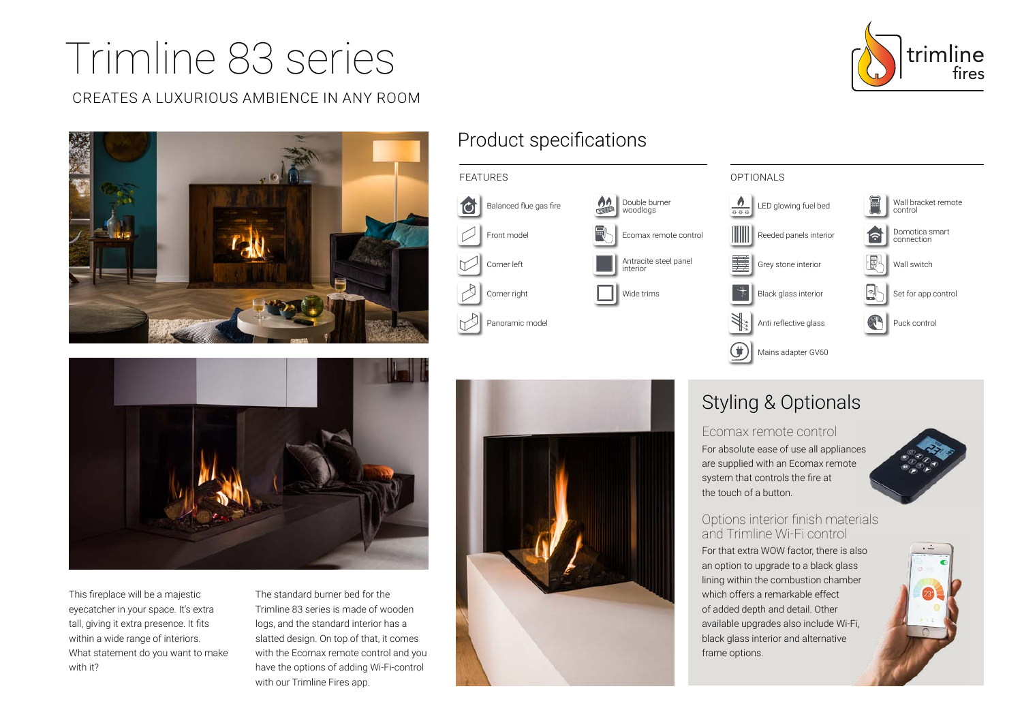# Trimline 83 series

### CREATES A LUXURIOUS AMBIENCE IN ANY ROOM





# Product specifications





This fireplace will be a majestic eyecatcher in your space. It's extra tall, giving it extra presence. It fits within a wide range of interiors. What statement do you want to make with it?

The standard burner bed for the Trimline 83 series is made of wooden logs, and the standard interior has a slatted design. On top of that, it comes with the Ecomax remote control and you have the options of adding Wi-Fi-control with our Trimline Fires app.



# Styling & Optionals

Ecomax remote control For absolute ease of use all appliances are supplied with an Ecomax remote system that controls the fire at the touch of a button.



#### Options interior finish materials and Trimline Wi-Fi control

For that extra WOW factor, there is also an option to upgrade to a black glass lining within the combustion chamber which offers a remarkable effect of added depth and detail. Other available upgrades also include Wi-Fi, black glass interior and alternative frame options.